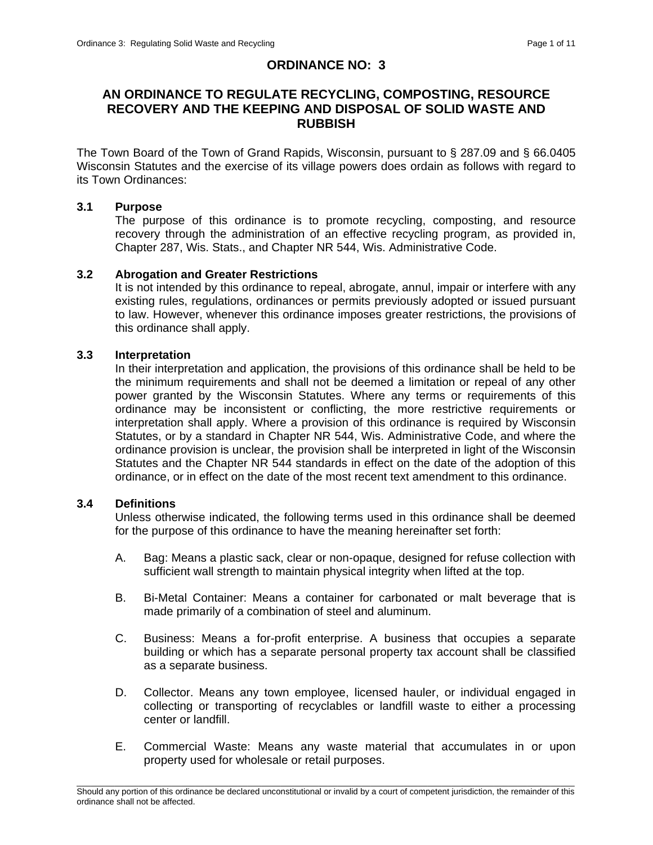# **ORDINANCE NO: 3**

# **AN ORDINANCE TO REGULATE RECYCLING, COMPOSTING, RESOURCE RECOVERY AND THE KEEPING AND DISPOSAL OF SOLID WASTE AND RUBBISH**

The Town Board of the Town of Grand Rapids, Wisconsin, pursuant to § 287.09 and § 66.0405 Wisconsin Statutes and the exercise of its village powers does ordain as follows with regard to its Town Ordinances:

### **3.1 Purpose**

The purpose of this ordinance is to promote recycling, composting, and resource recovery through the administration of an effective recycling program, as provided in, Chapter 287, Wis. Stats., and Chapter NR 544, Wis. Administrative Code.

#### **3.2 Abrogation and Greater Restrictions**

It is not intended by this ordinance to repeal, abrogate, annul, impair or interfere with any existing rules, regulations, ordinances or permits previously adopted or issued pursuant to law. However, whenever this ordinance imposes greater restrictions, the provisions of this ordinance shall apply.

#### **3.3 Interpretation**

In their interpretation and application, the provisions of this ordinance shall be held to be the minimum requirements and shall not be deemed a limitation or repeal of any other power granted by the Wisconsin Statutes. Where any terms or requirements of this ordinance may be inconsistent or conflicting, the more restrictive requirements or interpretation shall apply. Where a provision of this ordinance is required by Wisconsin Statutes, or by a standard in Chapter NR 544, Wis. Administrative Code, and where the ordinance provision is unclear, the provision shall be interpreted in light of the Wisconsin Statutes and the Chapter NR 544 standards in effect on the date of the adoption of this ordinance, or in effect on the date of the most recent text amendment to this ordinance.

### **3.4 Definitions**

Unless otherwise indicated, the following terms used in this ordinance shall be deemed for the purpose of this ordinance to have the meaning hereinafter set forth:

- A. Bag: Means a plastic sack, clear or non-opaque, designed for refuse collection with sufficient wall strength to maintain physical integrity when lifted at the top.
- B. Bi-Metal Container: Means a container for carbonated or malt beverage that is made primarily of a combination of steel and aluminum.
- C. Business: Means a for-profit enterprise. A business that occupies a separate building or which has a separate personal property tax account shall be classified as a separate business.
- D. Collector. Means any town employee, licensed hauler, or individual engaged in collecting or transporting of recyclables or landfill waste to either a processing center or landfill.
- E. Commercial Waste: Means any waste material that accumulates in or upon property used for wholesale or retail purposes.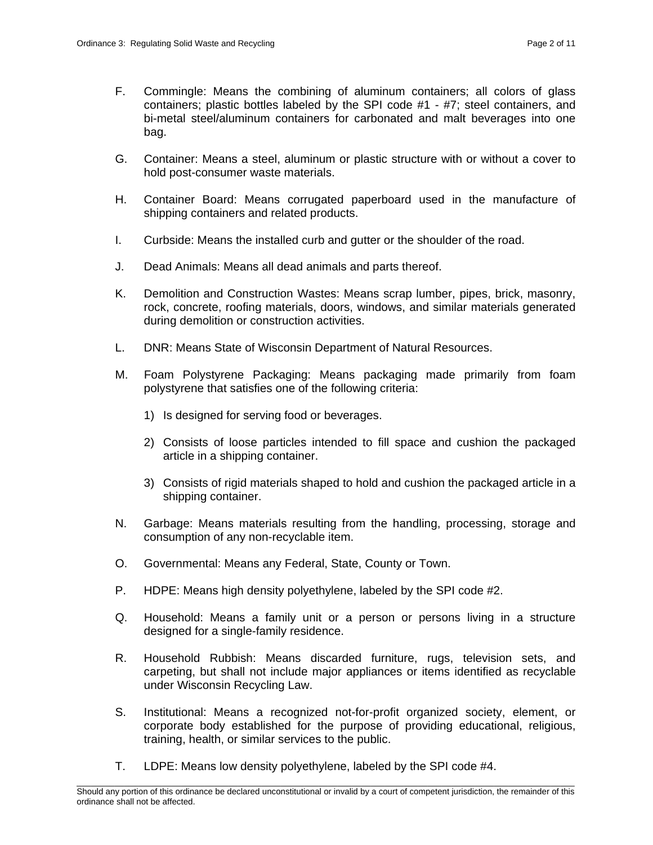- F. Commingle: Means the combining of aluminum containers; all colors of glass containers; plastic bottles labeled by the SPI code #1 - #7; steel containers, and bi-metal steel/aluminum containers for carbonated and malt beverages into one bag.
- G. Container: Means a steel, aluminum or plastic structure with or without a cover to hold post-consumer waste materials.
- H. Container Board: Means corrugated paperboard used in the manufacture of shipping containers and related products.
- I. Curbside: Means the installed curb and gutter or the shoulder of the road.
- J. Dead Animals: Means all dead animals and parts thereof.
- K. Demolition and Construction Wastes: Means scrap lumber, pipes, brick, masonry, rock, concrete, roofing materials, doors, windows, and similar materials generated during demolition or construction activities.
- L. DNR: Means State of Wisconsin Department of Natural Resources.
- M. Foam Polystyrene Packaging: Means packaging made primarily from foam polystyrene that satisfies one of the following criteria:
	- 1) Is designed for serving food or beverages.
	- 2) Consists of loose particles intended to fill space and cushion the packaged article in a shipping container.
	- 3) Consists of rigid materials shaped to hold and cushion the packaged article in a shipping container.
- N. Garbage: Means materials resulting from the handling, processing, storage and consumption of any non-recyclable item.
- O. Governmental: Means any Federal, State, County or Town.
- P. HDPE: Means high density polyethylene, labeled by the SPI code #2.
- Q. Household: Means a family unit or a person or persons living in a structure designed for a single-family residence.
- R. Household Rubbish: Means discarded furniture, rugs, television sets, and carpeting, but shall not include major appliances or items identified as recyclable under Wisconsin Recycling Law.
- S. Institutional: Means a recognized not-for-profit organized society, element, or corporate body established for the purpose of providing educational, religious, training, health, or similar services to the public.
- T. LDPE: Means low density polyethylene, labeled by the SPI code #4.

\_\_\_\_\_\_\_\_\_\_\_\_\_\_\_\_\_\_\_\_\_\_\_\_\_\_\_\_\_\_\_\_\_\_\_\_\_\_\_\_\_\_\_\_\_\_\_\_\_\_\_\_\_\_\_\_\_\_\_\_\_\_\_\_\_\_\_\_\_\_\_\_\_\_\_\_\_\_\_\_\_\_\_\_\_\_\_\_\_\_\_\_\_\_\_\_\_\_\_\_\_\_\_\_\_ Should any portion of this ordinance be declared unconstitutional or invalid by a court of competent jurisdiction, the remainder of this ordinance shall not be affected.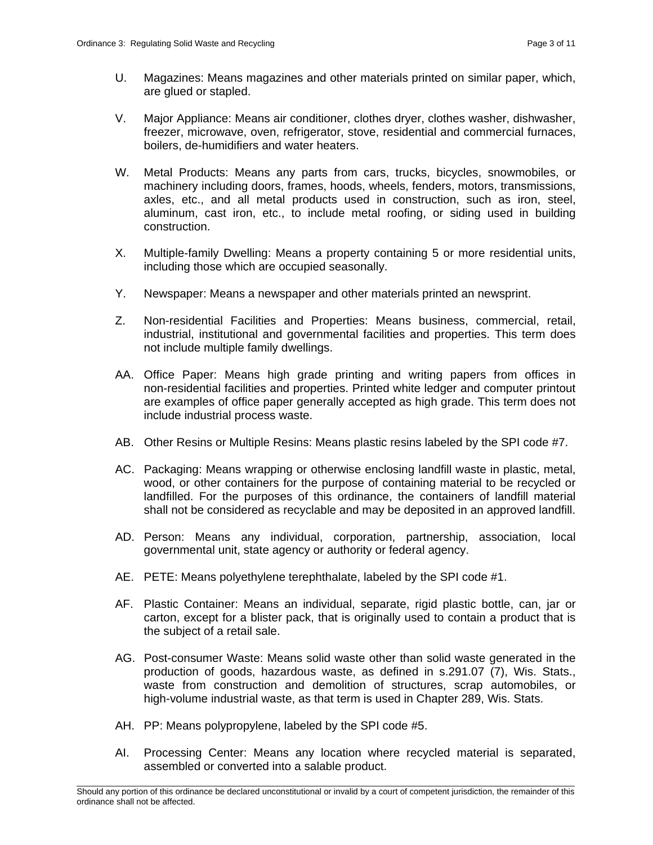- U. Magazines: Means magazines and other materials printed on similar paper, which, are glued or stapled.
- V. Major Appliance: Means air conditioner, clothes dryer, clothes washer, dishwasher, freezer, microwave, oven, refrigerator, stove, residential and commercial furnaces, boilers, de-humidifiers and water heaters.
- W. Metal Products: Means any parts from cars, trucks, bicycles, snowmobiles, or machinery including doors, frames, hoods, wheels, fenders, motors, transmissions, axles, etc., and all metal products used in construction, such as iron, steel, aluminum, cast iron, etc., to include metal roofing, or siding used in building construction.
- X. Multiple-family Dwelling: Means a property containing 5 or more residential units, including those which are occupied seasonally.
- Y. Newspaper: Means a newspaper and other materials printed an newsprint.
- Z. Non-residential Facilities and Properties: Means business, commercial, retail, industrial, institutional and governmental facilities and properties. This term does not include multiple family dwellings.
- AA. Office Paper: Means high grade printing and writing papers from offices in non-residential facilities and properties. Printed white ledger and computer printout are examples of office paper generally accepted as high grade. This term does not include industrial process waste.
- AB. Other Resins or Multiple Resins: Means plastic resins labeled by the SPI code #7.
- AC. Packaging: Means wrapping or otherwise enclosing landfill waste in plastic, metal, wood, or other containers for the purpose of containing material to be recycled or landfilled. For the purposes of this ordinance, the containers of landfill material shall not be considered as recyclable and may be deposited in an approved landfill.
- AD. Person: Means any individual, corporation, partnership, association, local governmental unit, state agency or authority or federal agency.
- AE. PETE: Means polyethylene terephthalate, labeled by the SPI code #1.
- AF. Plastic Container: Means an individual, separate, rigid plastic bottle, can, jar or carton, except for a blister pack, that is originally used to contain a product that is the subject of a retail sale.
- AG. Post-consumer Waste: Means solid waste other than solid waste generated in the production of goods, hazardous waste, as defined in s.291.07 (7), Wis. Stats., waste from construction and demolition of structures, scrap automobiles, or high-volume industrial waste, as that term is used in Chapter 289, Wis. Stats.
- AH. PP: Means polypropylene, labeled by the SPI code #5.
- AI. Processing Center: Means any location where recycled material is separated, assembled or converted into a salable product.

\_\_\_\_\_\_\_\_\_\_\_\_\_\_\_\_\_\_\_\_\_\_\_\_\_\_\_\_\_\_\_\_\_\_\_\_\_\_\_\_\_\_\_\_\_\_\_\_\_\_\_\_\_\_\_\_\_\_\_\_\_\_\_\_\_\_\_\_\_\_\_\_\_\_\_\_\_\_\_\_\_\_\_\_\_\_\_\_\_\_\_\_\_\_\_\_\_\_\_\_\_\_\_\_\_ Should any portion of this ordinance be declared unconstitutional or invalid by a court of competent jurisdiction, the remainder of this ordinance shall not be affected.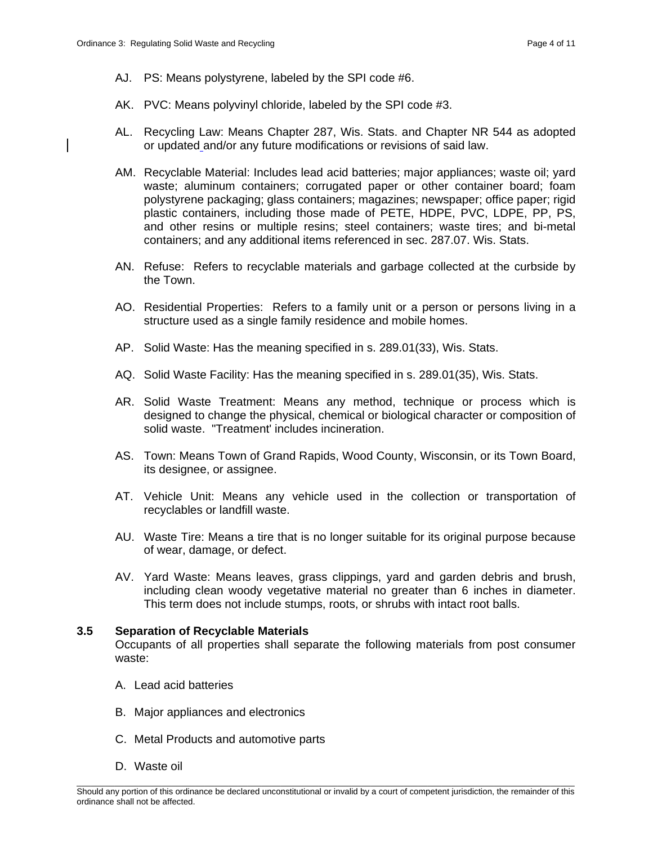- AJ. PS: Means polystyrene, labeled by the SPI code #6.
- AK. PVC: Means polyvinyl chloride, labeled by the SPI code #3.
- AL. Recycling Law: Means Chapter 287, Wis. Stats. and Chapter NR 544 as adopted or updated and/or any future modifications or revisions of said law.
- AM. Recyclable Material: Includes lead acid batteries; major appliances; waste oil; yard waste; aluminum containers; corrugated paper or other container board; foam polystyrene packaging; glass containers; magazines; newspaper; office paper; rigid plastic containers, including those made of PETE, HDPE, PVC, LDPE, PP, PS, and other resins or multiple resins; steel containers; waste tires; and bi-metal containers; and any additional items referenced in sec. 287.07. Wis. Stats.
- AN. Refuse: Refers to recyclable materials and garbage collected at the curbside by the Town.
- AO. Residential Properties: Refers to a family unit or a person or persons living in a structure used as a single family residence and mobile homes.
- AP. Solid Waste: Has the meaning specified in s. 289.01(33), Wis. Stats.
- AQ. Solid Waste Facility: Has the meaning specified in s. 289.01(35), Wis. Stats.
- AR. Solid Waste Treatment: Means any method, technique or process which is designed to change the physical, chemical or biological character or composition of solid waste. "Treatment' includes incineration.
- AS. Town: Means Town of Grand Rapids, Wood County, Wisconsin, or its Town Board, its designee, or assignee.
- AT. Vehicle Unit: Means any vehicle used in the collection or transportation of recyclables or landfill waste.
- AU. Waste Tire: Means a tire that is no longer suitable for its original purpose because of wear, damage, or defect.
- AV. Yard Waste: Means leaves, grass clippings, yard and garden debris and brush, including clean woody vegetative material no greater than 6 inches in diameter. This term does not include stumps, roots, or shrubs with intact root balls.

### **3.5 Separation of Recyclable Materials**

Occupants of all properties shall separate the following materials from post consumer waste:

- A. Lead acid batteries
- B. Major appliances and electronics
- C. Metal Products and automotive parts
- D. Waste oil

\_\_\_\_\_\_\_\_\_\_\_\_\_\_\_\_\_\_\_\_\_\_\_\_\_\_\_\_\_\_\_\_\_\_\_\_\_\_\_\_\_\_\_\_\_\_\_\_\_\_\_\_\_\_\_\_\_\_\_\_\_\_\_\_\_\_\_\_\_\_\_\_\_\_\_\_\_\_\_\_\_\_\_\_\_\_\_\_\_\_\_\_\_\_\_\_\_\_\_\_\_\_\_\_\_ Should any portion of this ordinance be declared unconstitutional or invalid by a court of competent jurisdiction, the remainder of this ordinance shall not be affected.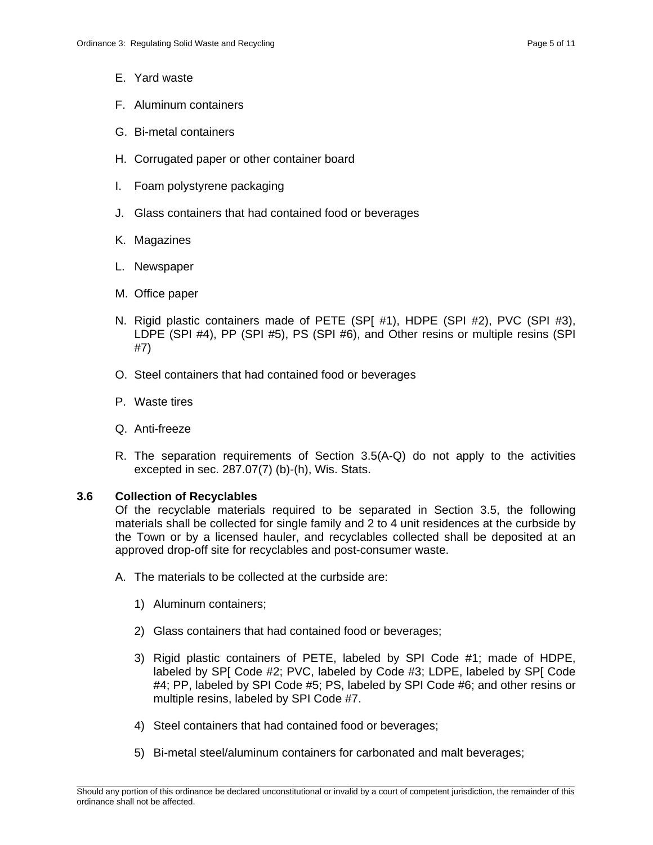- E. Yard waste
- F. Aluminum containers
- G. Bi-metal containers
- H. Corrugated paper or other container board
- I. Foam polystyrene packaging
- J. Glass containers that had contained food or beverages
- K. Magazines
- L. Newspaper
- M. Office paper
- N. Rigid plastic containers made of PETE (SP[ #1), HDPE (SPI #2), PVC (SPI #3), LDPE (SPI #4), PP (SPI #5), PS (SPI #6), and Other resins or multiple resins (SPI #7)
- O. Steel containers that had contained food or beverages
- P. Waste tires
- Q. Anti-freeze
- R. The separation requirements of Section 3.5(A-Q) do not apply to the activities excepted in sec. 287.07(7) (b)-(h), Wis. Stats.

#### **3.6 Collection of Recyclables**

Of the recyclable materials required to be separated in Section 3.5, the following materials shall be collected for single family and 2 to 4 unit residences at the curbside by the Town or by a licensed hauler, and recyclables collected shall be deposited at an approved drop-off site for recyclables and post-consumer waste.

- A. The materials to be collected at the curbside are:
	- 1) Aluminum containers;
	- 2) Glass containers that had contained food or beverages;
	- 3) Rigid plastic containers of PETE, labeled by SPI Code #1; made of HDPE, labeled by SP[ Code #2; PVC, labeled by Code #3; LDPE, labeled by SP[ Code #4; PP, labeled by SPI Code #5; PS, labeled by SPI Code #6; and other resins or multiple resins, labeled by SPI Code #7.
	- 4) Steel containers that had contained food or beverages;
	- 5) Bi-metal steel/aluminum containers for carbonated and malt beverages;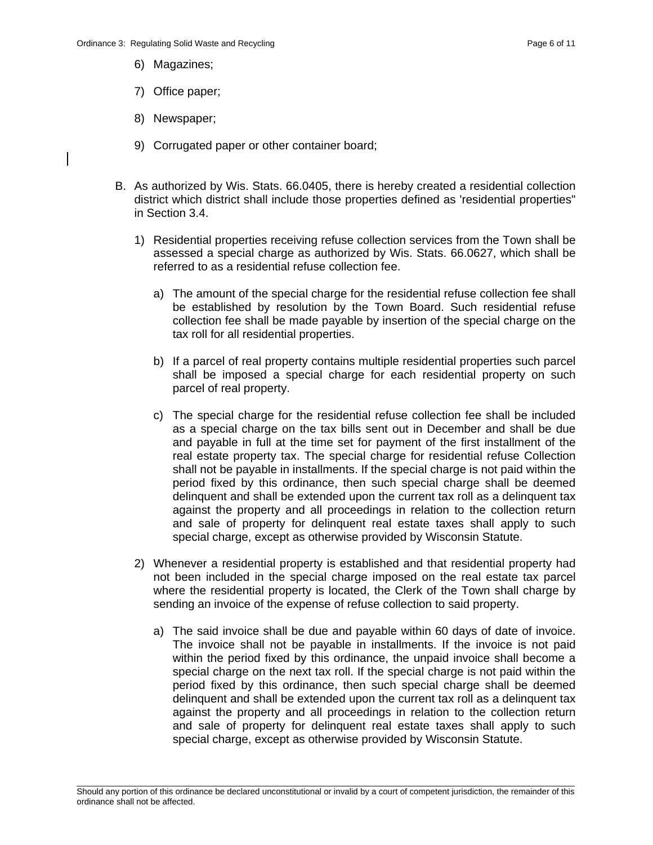- 6) Magazines;
- 7) Office paper;
- 8) Newspaper;
- 9) Corrugated paper or other container board;
- B. As authorized by Wis. Stats. 66.0405, there is hereby created a residential collection district which district shall include those properties defined as 'residential properties" in Section 3.4.
	- 1) Residential properties receiving refuse collection services from the Town shall be assessed a special charge as authorized by Wis. Stats. 66.0627, which shall be referred to as a residential refuse collection fee.
		- a) The amount of the special charge for the residential refuse collection fee shall be established by resolution by the Town Board. Such residential refuse collection fee shall be made payable by insertion of the special charge on the tax roll for all residential properties.
		- b) If a parcel of real property contains multiple residential properties such parcel shall be imposed a special charge for each residential property on such parcel of real property.
		- c) The special charge for the residential refuse collection fee shall be included as a special charge on the tax bills sent out in December and shall be due and payable in full at the time set for payment of the first installment of the real estate property tax. The special charge for residential refuse Collection shall not be payable in installments. If the special charge is not paid within the period fixed by this ordinance, then such special charge shall be deemed delinquent and shall be extended upon the current tax roll as a delinquent tax against the property and all proceedings in relation to the collection return and sale of property for delinquent real estate taxes shall apply to such special charge, except as otherwise provided by Wisconsin Statute.
	- 2) Whenever a residential property is established and that residential property had not been included in the special charge imposed on the real estate tax parcel where the residential property is located, the Clerk of the Town shall charge by sending an invoice of the expense of refuse collection to said property.
		- a) The said invoice shall be due and payable within 60 days of date of invoice. The invoice shall not be payable in installments. If the invoice is not paid within the period fixed by this ordinance, the unpaid invoice shall become a special charge on the next tax roll. If the special charge is not paid within the period fixed by this ordinance, then such special charge shall be deemed delinquent and shall be extended upon the current tax roll as a delinquent tax against the property and all proceedings in relation to the collection return and sale of property for delinquent real estate taxes shall apply to such special charge, except as otherwise provided by Wisconsin Statute.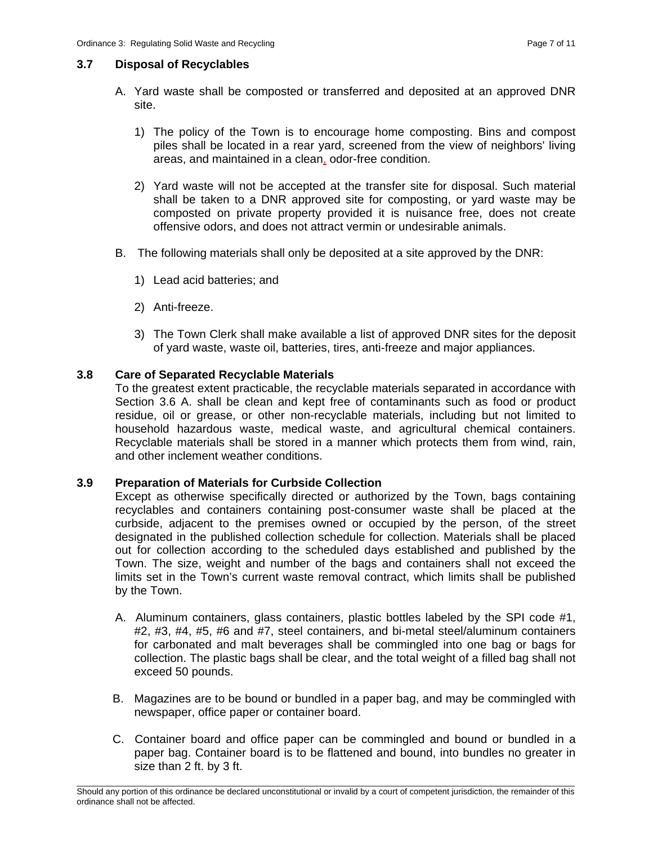### **3.7 Disposal of Recyclables**

- A. Yard waste shall be composted or transferred and deposited at an approved DNR site.
	- 1) The policy of the Town is to encourage home composting. Bins and compost piles shall be located in a rear yard, screened from the view of neighbors' living areas, and maintained in a clean, odor-free condition.
	- 2) Yard waste will not be accepted at the transfer site for disposal. Such material shall be taken to a DNR approved site for composting, or yard waste may be composted on private property provided it is nuisance free, does not create offensive odors, and does not attract vermin or undesirable animals.
- B. The following materials shall only be deposited at a site approved by the DNR:
	- 1) Lead acid batteries; and
	- 2) Anti-freeze.
	- 3) The Town Clerk shall make available a list of approved DNR sites for the deposit of yard waste, waste oil, batteries, tires, anti-freeze and major appliances.

# **3.8 Care of Separated Recyclable Materials**

To the greatest extent practicable, the recyclable materials separated in accordance with Section 3.6 A. shall be clean and kept free of contaminants such as food or product residue, oil or grease, or other non-recyclable materials, including but not limited to household hazardous waste, medical waste, and agricultural chemical containers. Recyclable materials shall be stored in a manner which protects them from wind, rain, and other inclement weather conditions.

# **3.9 Preparation of Materials for Curbside Collection**

Except as otherwise specifically directed or authorized by the Town, bags containing recyclables and containers containing post-consumer waste shall be placed at the curbside, adjacent to the premises owned or occupied by the person, of the street designated in the published collection schedule for collection. Materials shall be placed out for collection according to the scheduled days established and published by the Town. The size, weight and number of the bags and containers shall not exceed the limits set in the Town's current waste removal contract, which limits shall be published by the Town.

- A. Aluminum containers, glass containers, plastic bottles labeled by the SPI code #1, #2, #3, #4, #5, #6 and #7, steel containers, and bi-metal steel/aluminum containers for carbonated and malt beverages shall be commingled into one bag or bags for collection. The plastic bags shall be clear, and the total weight of a filled bag shall not exceed 50 pounds.
- B. Magazines are to be bound or bundled in a paper bag, and may be commingled with newspaper, office paper or container board.
- C. Container board and office paper can be commingled and bound or bundled in a paper bag. Container board is to be flattened and bound, into bundles no greater in size than 2 ft. by 3 ft.

\_\_\_\_\_\_\_\_\_\_\_\_\_\_\_\_\_\_\_\_\_\_\_\_\_\_\_\_\_\_\_\_\_\_\_\_\_\_\_\_\_\_\_\_\_\_\_\_\_\_\_\_\_\_\_\_\_\_\_\_\_\_\_\_\_\_\_\_\_\_\_\_\_\_\_\_\_\_\_\_\_\_\_\_\_\_\_\_\_\_\_\_\_\_\_\_\_\_\_\_\_\_\_\_\_ Should any portion of this ordinance be declared unconstitutional or invalid by a court of competent jurisdiction, the remainder of this ordinance shall not be affected.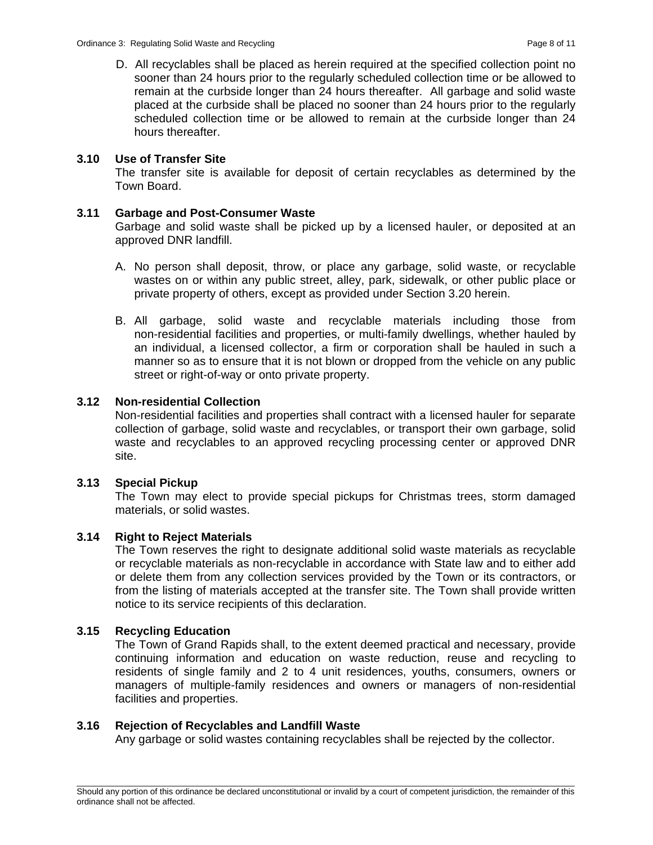D. All recyclables shall be placed as herein required at the specified collection point no sooner than 24 hours prior to the regularly scheduled collection time or be allowed to remain at the curbside longer than 24 hours thereafter. All garbage and solid waste placed at the curbside shall be placed no sooner than 24 hours prior to the regularly scheduled collection time or be allowed to remain at the curbside longer than 24 hours thereafter.

## **3.10 Use of Transfer Site**

The transfer site is available for deposit of certain recyclables as determined by the Town Board.

#### **3.11 Garbage and Post-Consumer Waste**

Garbage and solid waste shall be picked up by a licensed hauler, or deposited at an approved DNR landfill.

- A. No person shall deposit, throw, or place any garbage, solid waste, or recyclable wastes on or within any public street, alley, park, sidewalk, or other public place or private property of others, except as provided under Section 3.20 herein.
- B. All garbage, solid waste and recyclable materials including those from non-residential facilities and properties, or multi-family dwellings, whether hauled by an individual, a licensed collector, a firm or corporation shall be hauled in such a manner so as to ensure that it is not blown or dropped from the vehicle on any public street or right-of-way or onto private property.

### **3.12 Non-residential Collection**

Non-residential facilities and properties shall contract with a licensed hauler for separate collection of garbage, solid waste and recyclables, or transport their own garbage, solid waste and recyclables to an approved recycling processing center or approved DNR site.

### **3.13 Special Pickup**

The Town may elect to provide special pickups for Christmas trees, storm damaged materials, or solid wastes.

### **3.14 Right to Reject Materials**

The Town reserves the right to designate additional solid waste materials as recyclable or recyclable materials as non-recyclable in accordance with State law and to either add or delete them from any collection services provided by the Town or its contractors, or from the listing of materials accepted at the transfer site. The Town shall provide written notice to its service recipients of this declaration.

### **3.15 Recycling Education**

The Town of Grand Rapids shall, to the extent deemed practical and necessary, provide continuing information and education on waste reduction, reuse and recycling to residents of single family and 2 to 4 unit residences, youths, consumers, owners or managers of multiple-family residences and owners or managers of non-residential facilities and properties.

### **3.16 Rejection of Recyclables and Landfill Waste**

Any garbage or solid wastes containing recyclables shall be rejected by the collector.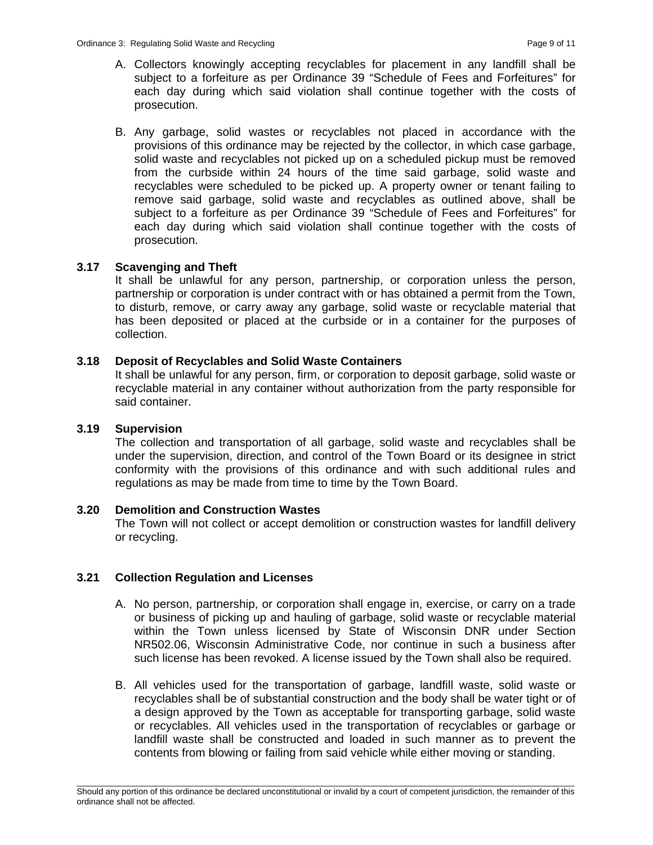- A. Collectors knowingly accepting recyclables for placement in any landfill shall be subject to a forfeiture as per Ordinance 39 "Schedule of Fees and Forfeitures" for each day during which said violation shall continue together with the costs of prosecution.
- B. Any garbage, solid wastes or recyclables not placed in accordance with the provisions of this ordinance may be rejected by the collector, in which case garbage, solid waste and recyclables not picked up on a scheduled pickup must be removed from the curbside within 24 hours of the time said garbage, solid waste and recyclables were scheduled to be picked up. A property owner or tenant failing to remove said garbage, solid waste and recyclables as outlined above, shall be subject to a forfeiture as per Ordinance 39 "Schedule of Fees and Forfeitures" for each day during which said violation shall continue together with the costs of prosecution.

### **3.17 Scavenging and Theft**

It shall be unlawful for any person, partnership, or corporation unless the person, partnership or corporation is under contract with or has obtained a permit from the Town, to disturb, remove, or carry away any garbage, solid waste or recyclable material that has been deposited or placed at the curbside or in a container for the purposes of collection.

### **3.18 Deposit of Recyclables and Solid Waste Containers**

It shall be unlawful for any person, firm, or corporation to deposit garbage, solid waste or recyclable material in any container without authorization from the party responsible for said container.

### **3.19 Supervision**

The collection and transportation of all garbage, solid waste and recyclables shall be under the supervision, direction, and control of the Town Board or its designee in strict conformity with the provisions of this ordinance and with such additional rules and regulations as may be made from time to time by the Town Board.

### **3.20 Demolition and Construction Wastes**

 The Town will not collect or accept demolition or construction wastes for landfill delivery or recycling.

# **3.21 Collection Regulation and Licenses**

- A. No person, partnership, or corporation shall engage in, exercise, or carry on a trade or business of picking up and hauling of garbage, solid waste or recyclable material within the Town unless licensed by State of Wisconsin DNR under Section NR502.06, Wisconsin Administrative Code, nor continue in such a business after such license has been revoked. A license issued by the Town shall also be required.
- B. All vehicles used for the transportation of garbage, landfill waste, solid waste or recyclables shall be of substantial construction and the body shall be water tight or of a design approved by the Town as acceptable for transporting garbage, solid waste or recyclables. All vehicles used in the transportation of recyclables or garbage or landfill waste shall be constructed and loaded in such manner as to prevent the contents from blowing or failing from said vehicle while either moving or standing.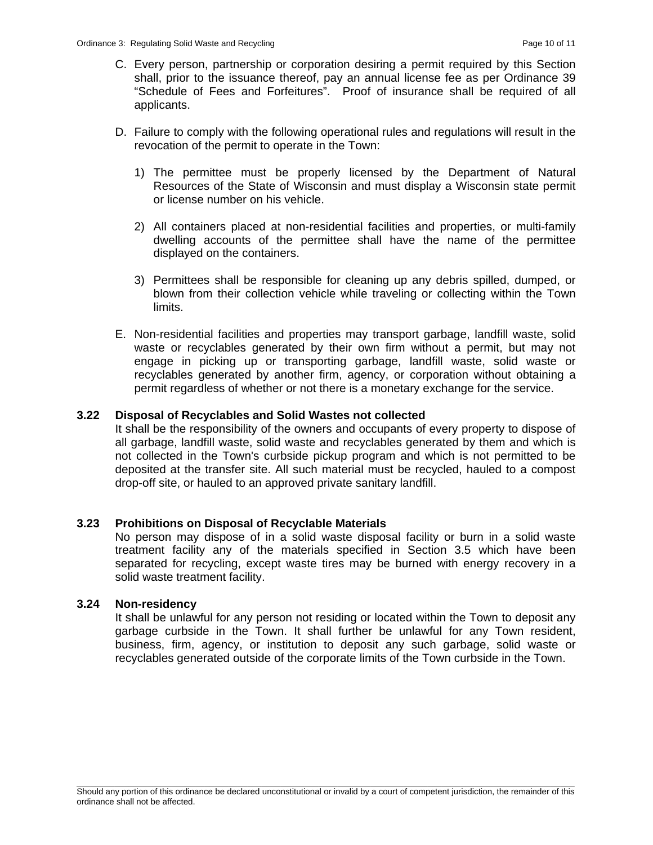- C. Every person, partnership or corporation desiring a permit required by this Section shall, prior to the issuance thereof, pay an annual license fee as per Ordinance 39 "Schedule of Fees and Forfeitures". Proof of insurance shall be required of all applicants.
- D. Failure to comply with the following operational rules and regulations will result in the revocation of the permit to operate in the Town:
	- 1) The permittee must be properly licensed by the Department of Natural Resources of the State of Wisconsin and must display a Wisconsin state permit or license number on his vehicle.
	- 2) All containers placed at non-residential facilities and properties, or multi-family dwelling accounts of the permittee shall have the name of the permittee displayed on the containers.
	- 3) Permittees shall be responsible for cleaning up any debris spilled, dumped, or blown from their collection vehicle while traveling or collecting within the Town limits.
- E. Non-residential facilities and properties may transport garbage, landfill waste, solid waste or recyclables generated by their own firm without a permit, but may not engage in picking up or transporting garbage, landfill waste, solid waste or recyclables generated by another firm, agency, or corporation without obtaining a permit regardless of whether or not there is a monetary exchange for the service.

### **3.22 Disposal of Recyclables and Solid Wastes not collected**

It shall be the responsibility of the owners and occupants of every property to dispose of all garbage, landfill waste, solid waste and recyclables generated by them and which is not collected in the Town's curbside pickup program and which is not permitted to be deposited at the transfer site. All such material must be recycled, hauled to a compost drop-off site, or hauled to an approved private sanitary landfill.

### **3.23 Prohibitions on Disposal of Recyclable Materials**

No person may dispose of in a solid waste disposal facility or burn in a solid waste treatment facility any of the materials specified in Section 3.5 which have been separated for recycling, except waste tires may be burned with energy recovery in a solid waste treatment facility.

### **3.24 Non-residency**

It shall be unlawful for any person not residing or located within the Town to deposit any garbage curbside in the Town. It shall further be unlawful for any Town resident, business, firm, agency, or institution to deposit any such garbage, solid waste or recyclables generated outside of the corporate limits of the Town curbside in the Town.